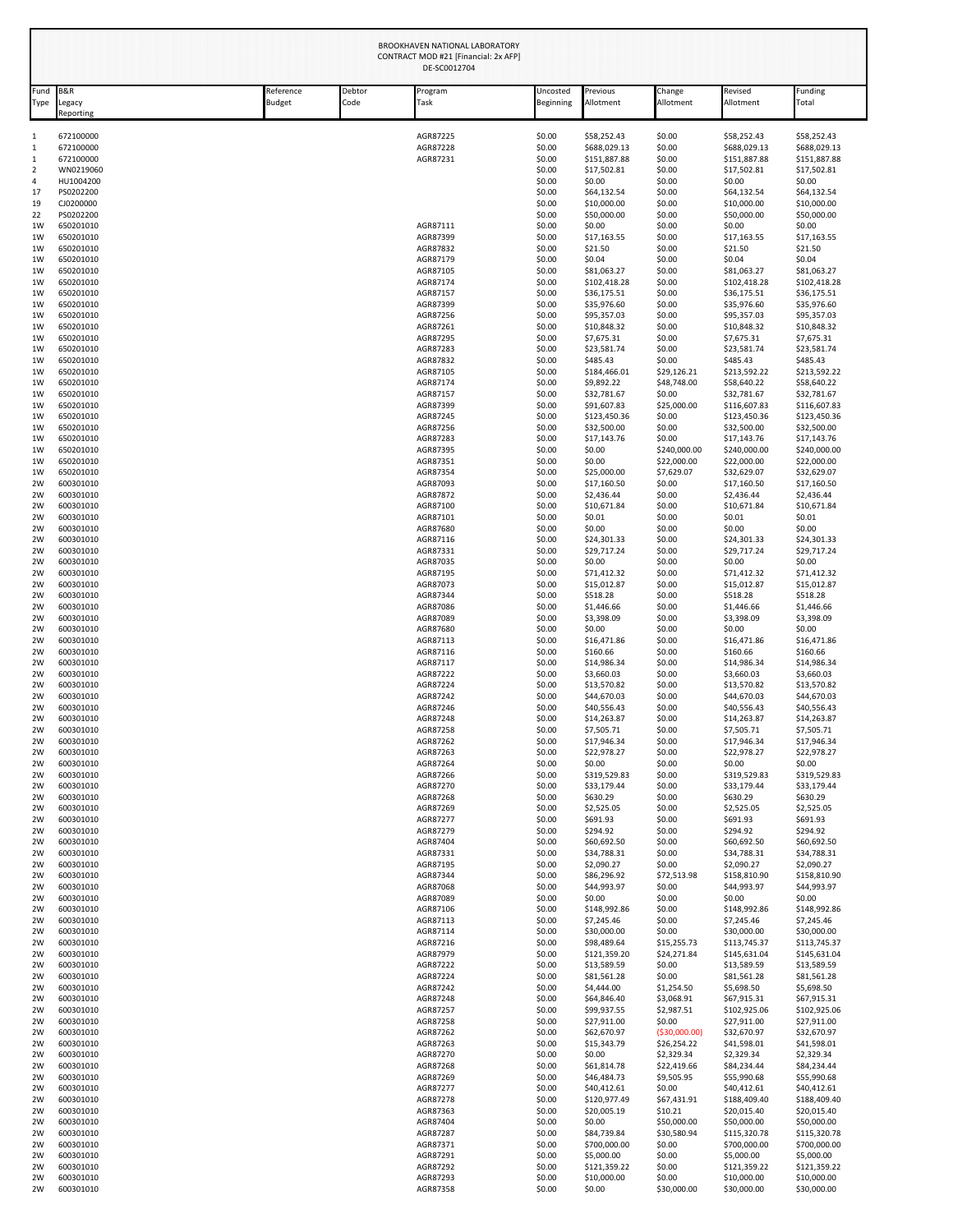|                                                                  |                                                                            |                     |                | BROOKHAVEN NATIONAL LABORATORY<br>CONTRACT MOD #21 [Financial: 2x AFP]<br>DE-SC0012704 |                                                          |                                                                                         |                                                                                 |                                                                                           |                                                                                           |
|------------------------------------------------------------------|----------------------------------------------------------------------------|---------------------|----------------|----------------------------------------------------------------------------------------|----------------------------------------------------------|-----------------------------------------------------------------------------------------|---------------------------------------------------------------------------------|-------------------------------------------------------------------------------------------|-------------------------------------------------------------------------------------------|
| Fund<br>Type                                                     | <b>B&amp;R</b><br>Legacy<br>Reporting                                      | Reference<br>Budget | Debtor<br>Code | Program<br>Task                                                                        | Uncosted<br>Beginning                                    | Previous<br>Allotment                                                                   | Change<br>Allotment                                                             | Revised<br>Allotment                                                                      | Funding<br>Total                                                                          |
| $\mathbf{1}$<br>1<br>$\,1\,$<br>$\overline{2}$<br>$\overline{4}$ | 672100000<br>672100000<br>672100000<br>WN0219060<br>HU1004200              |                     |                | AGR87225<br>AGR87228<br>AGR87231                                                       | \$0.00<br>\$0.00<br>\$0.00<br>\$0.00<br>\$0.00           | \$58,252.43<br>\$688,029.13<br>\$151,887.88<br>\$17,502.81<br>\$0.00                    | \$0.00<br>\$0.00<br>\$0.00<br>\$0.00<br>\$0.00                                  | \$58,252.43<br>\$688,029.13<br>\$151,887.88<br>\$17,502.81<br>\$0.00                      | \$58,252.43<br>\$688,029.13<br>\$151,887.88<br>\$17,502.81<br>\$0.00                      |
| 17<br>19<br>22<br>1W<br>1W                                       | PS0202200<br>CJ0200000<br>PS0202200<br>650201010<br>650201010              |                     |                | AGR87111<br>AGR87399                                                                   | \$0.00<br>\$0.00<br>\$0.00<br>\$0.00<br>\$0.00           | \$64,132.54<br>\$10,000.00<br>\$50,000.00<br>\$0.00<br>\$17,163.55                      | \$0.00<br>\$0.00<br>\$0.00<br>\$0.00<br>\$0.00                                  | \$64,132.54<br>\$10,000.00<br>\$50,000.00<br>\$0.00<br>\$17,163.55                        | \$64,132.54<br>\$10,000.00<br>\$50,000.00<br>\$0.00<br>\$17,163.55                        |
| 1W<br>1W<br>1W<br>1W<br>1W<br>1W                                 | 650201010<br>650201010<br>650201010<br>650201010<br>650201010<br>650201010 |                     |                | AGR87832<br>AGR87179<br>AGR87105<br>AGR87174<br>AGR87157<br>AGR87399                   | \$0.00<br>\$0.00<br>\$0.00<br>\$0.00<br>\$0.00<br>\$0.00 | \$21.50<br>\$0.04<br>\$81,063.27<br>\$102,418.28<br>\$36,175.51<br>\$35,976.60          | \$0.00<br>\$0.00<br>\$0.00<br>\$0.00<br>\$0.00<br>\$0.00                        | \$21.50<br>\$0.04<br>\$81,063.27<br>\$102,418.28<br>\$36,175.51<br>\$35,976.60            | \$21.50<br>\$0.04<br>\$81,063.27<br>\$102,418.28<br>\$36,175.51<br>\$35,976.60            |
| 1W<br>1W<br>1W<br>1W<br>1W                                       | 650201010<br>650201010<br>650201010<br>650201010<br>650201010              |                     |                | AGR87256<br>AGR87261<br>AGR87295<br>AGR87283<br>AGR87832                               | \$0.00<br>\$0.00<br>\$0.00<br>\$0.00<br>\$0.00           | \$95,357.03<br>\$10,848.32<br>\$7,675.31<br>\$23,581.74<br>\$485.43                     | \$0.00<br>\$0.00<br>\$0.00<br>\$0.00<br>\$0.00                                  | \$95,357.03<br>\$10,848.32<br>\$7,675.31<br>\$23,581.74<br>\$485.43                       | \$95,357.03<br>\$10,848.32<br>\$7,675.31<br>\$23,581.74<br>\$485.43                       |
| 1W<br>1W<br>1W<br>1W<br>1W<br>1W                                 | 650201010<br>650201010<br>650201010<br>650201010<br>650201010<br>650201010 |                     |                | AGR87105<br>AGR87174<br>AGR87157<br>AGR87399<br>AGR87245<br>AGR87256                   | \$0.00<br>\$0.00<br>\$0.00<br>\$0.00<br>\$0.00<br>\$0.00 | \$184,466.01<br>\$9,892.22<br>\$32,781.67<br>\$91,607.83<br>\$123,450.36<br>\$32,500.00 | \$29,126.21<br>\$48,748.00<br>\$0.00<br>\$25,000.00<br>\$0.00<br>\$0.00         | \$213,592.22<br>\$58,640.22<br>\$32,781.67<br>\$116,607.83<br>\$123,450.36<br>\$32,500.00 | \$213,592.22<br>\$58,640.22<br>\$32,781.67<br>\$116,607.83<br>\$123,450.36<br>\$32,500.00 |
| 1W<br>1W<br>1W<br>1W<br>2W                                       | 650201010<br>650201010<br>650201010<br>650201010<br>600301010              |                     |                | AGR87283<br>AGR87395<br>AGR87351<br>AGR87354<br>AGR87093                               | \$0.00<br>\$0.00<br>\$0.00<br>\$0.00<br>\$0.00           | \$17,143.76<br>\$0.00<br>\$0.00<br>\$25,000.00<br>\$17,160.50                           | \$0.00<br>\$240,000.00<br>\$22,000.00<br>\$7,629.07<br>\$0.00                   | \$17,143.76<br>\$240,000.00<br>\$22,000.00<br>\$32,629.07<br>\$17,160.50                  | \$17,143.76<br>\$240,000.00<br>\$22,000.00<br>\$32,629.07<br>\$17,160.50                  |
| 2W<br>2W<br>2W<br>2W<br>2W<br>2W                                 | 600301010<br>600301010<br>600301010<br>600301010<br>600301010<br>600301010 |                     |                | AGR87872<br>AGR87100<br>AGR87101<br>AGR87680<br>AGR87116<br>AGR87331                   | \$0.00<br>\$0.00<br>\$0.00<br>\$0.00<br>\$0.00<br>\$0.00 | \$2,436.44<br>\$10,671.84<br>\$0.01<br>\$0.00<br>\$24,301.33<br>\$29,717.24             | \$0.00<br>\$0.00<br>\$0.00<br>\$0.00<br>\$0.00<br>\$0.00                        | \$2,436.44<br>\$10,671.84<br>\$0.01<br>\$0.00<br>\$24,301.33<br>\$29,717.24               | \$2,436.44<br>\$10,671.84<br>\$0.01<br>\$0.00<br>\$24,301.33<br>\$29,717.24               |
| 2W<br>2W<br>2W<br>2W<br>2W                                       | 600301010<br>600301010<br>600301010<br>600301010<br>600301010              |                     |                | AGR87035<br>AGR87195<br>AGR87073<br>AGR87344<br>AGR87086                               | \$0.00<br>\$0.00<br>\$0.00<br>\$0.00<br>\$0.00           | \$0.00<br>\$71,412.32<br>\$15,012.87<br>\$518.28<br>\$1,446.66                          | \$0.00<br>\$0.00<br>\$0.00<br>\$0.00<br>\$0.00                                  | \$0.00<br>\$71,412.32<br>\$15,012.87<br>\$518.28<br>\$1,446.66                            | \$0.00<br>\$71,412.32<br>\$15,012.87<br>\$518.28<br>\$1,446.66                            |
| 2W<br>2W<br>2W<br>2W<br>2W<br>2W                                 | 600301010<br>600301010<br>600301010<br>600301010<br>600301010<br>600301010 |                     |                | AGR87089<br>AGR87680<br>AGR87113<br>AGR87116<br>AGR87117<br>AGR87222                   | \$0.00<br>\$0.00<br>\$0.00<br>\$0.00<br>\$0.00<br>\$0.00 | \$3,398.09<br>\$0.00<br>\$16,471.86<br>\$160.66<br>\$14,986.34<br>\$3,660.03            | \$0.00<br>\$0.00<br>\$0.00<br>\$0.00<br>\$0.00<br>\$0.00                        | \$3,398.09<br>\$0.00<br>\$16,471.86<br>\$160.66<br>\$14,986.34<br>\$3,660.03              | \$3,398.09<br>\$0.00<br>\$16,471.86<br>\$160.66<br>\$14,986.34<br>\$3,660.03              |
| 2W<br>2W<br>2W<br>2W<br>2W                                       | 600301010<br>600301010<br>600301010<br>600301010<br>600301010              |                     |                | AGR87224<br>AGR87242<br>AGR87246<br>AGR87248<br>AGR87258                               | \$0.00<br>\$0.00<br>\$0.00<br>\$0.00<br>\$0.00           | \$13,570.82<br>\$44,670.03<br>\$40,556.43<br>\$14,263.87<br>\$7,505.71                  | \$0.00<br>\$0.00<br>\$0.00<br>\$0.00<br>\$0.00                                  | \$13,570.82<br>\$44,670.03<br>\$40,556.43<br>\$14,263.87<br>\$7,505.71                    | \$13,570.82<br>\$44,670.03<br>\$40,556.43<br>\$14,263.87<br>\$7,505.71                    |
| 2W<br>2W<br>2W<br>2W<br>2W<br>2W                                 | 600301010<br>600301010<br>600301010<br>600301010<br>600301010<br>600301010 |                     |                | AGR87262<br>AGR87263<br>AGR87264<br>AGR87266<br>AGR87270<br>AGR87268                   | \$0.00<br>\$0.00<br>\$0.00<br>\$0.00<br>\$0.00<br>\$0.00 | \$17,946.34<br>\$22,978.27<br>\$0.00<br>\$319,529.83<br>\$33,179.44<br>\$630.29         | \$0.00<br>\$0.00<br>\$0.00<br>\$0.00<br>\$0.00<br>\$0.00                        | \$17,946.34<br>\$22,978.27<br>\$0.00<br>\$319,529.83<br>\$33,179.44<br>\$630.29           | \$17,946.34<br>\$22,978.27<br>\$0.00<br>\$319,529.83<br>\$33,179.44<br>\$630.29           |
| 2W<br>2W<br>2W<br>2W<br>2W                                       | 600301010<br>600301010<br>600301010<br>600301010<br>600301010              |                     |                | AGR87269<br>AGR87277<br>AGR87279<br>AGR87404<br>AGR87331                               | \$0.00<br>\$0.00<br>\$0.00<br>\$0.00<br>\$0.00           | \$2,525.05<br>\$691.93<br>\$294.92<br>\$60,692.50<br>\$34,788.31                        | \$0.00<br>\$0.00<br>\$0.00<br>\$0.00<br>\$0.00                                  | \$2,525.05<br>\$691.93<br>\$294.92<br>\$60,692.50<br>\$34,788.31                          | \$2,525.05<br>\$691.93<br>\$294.92<br>\$60,692.50<br>\$34,788.31                          |
| 2W<br>2W<br>2W<br>2W<br>2W                                       | 600301010<br>600301010<br>600301010<br>600301010<br>600301010              |                     |                | AGR87195<br>AGR87344<br>AGR87068<br>AGR87089<br>AGR87106                               | \$0.00<br>\$0.00<br>\$0.00<br>\$0.00<br>\$0.00           | \$2,090.27<br>\$86,296.92<br>\$44,993.97<br>\$0.00<br>\$148,992.86                      | \$0.00<br>\$72,513.98<br>\$0.00<br>\$0.00<br>\$0.00                             | \$2,090.27<br>\$158,810.90<br>\$44,993.97<br>\$0.00<br>\$148,992.86                       | \$2,090.27<br>\$158,810.90<br>\$44,993.97<br>\$0.00<br>\$148,992.86                       |
| 2W<br>2W<br>2W<br>2W<br>2W<br>2W                                 | 600301010<br>600301010<br>600301010<br>600301010<br>600301010<br>600301010 |                     |                | AGR87113<br>AGR87114<br>AGR87216<br>AGR87979<br>AGR87222<br>AGR87224                   | \$0.00<br>\$0.00<br>\$0.00<br>\$0.00<br>\$0.00<br>\$0.00 | \$7,245.46<br>\$30,000.00<br>\$98,489.64<br>\$121,359.20<br>\$13,589.59<br>\$81,561.28  | \$0.00<br>\$0.00<br>\$15,255.73<br>\$24,271.84<br>\$0.00<br>\$0.00              | \$7,245.46<br>\$30,000.00<br>\$113,745.37<br>\$145,631.04<br>\$13,589.59<br>\$81,561.28   | \$7,245.46<br>\$30,000.00<br>\$113,745.37<br>\$145,631.04<br>\$13,589.59<br>\$81,561.28   |
| 2W<br>2W<br>2W<br>2W<br>2W                                       | 600301010<br>600301010<br>600301010<br>600301010<br>600301010              |                     |                | AGR87242<br>AGR87248<br>AGR87257<br>AGR87258<br>AGR87262                               | \$0.00<br>\$0.00<br>\$0.00<br>\$0.00<br>\$0.00           | \$4,444.00<br>\$64,846.40<br>\$99,937.55<br>\$27,911.00<br>\$62,670.97                  | \$1,254.50<br>\$3,068.91<br>\$2,987.51<br>\$0.00<br>( \$30,000.00)              | \$5,698.50<br>\$67,915.31<br>\$102,925.06<br>\$27,911.00<br>\$32,670.97                   | \$5,698.50<br>\$67,915.31<br>\$102,925.06<br>\$27,911.00<br>\$32,670.97                   |
| 2W<br>2W<br>2W<br>2W<br>2W<br>2W                                 | 600301010<br>600301010<br>600301010<br>600301010<br>600301010<br>600301010 |                     |                | AGR87263<br>AGR87270<br>AGR87268<br>AGR87269<br>AGR87277<br>AGR87278                   | \$0.00<br>\$0.00<br>\$0.00<br>\$0.00<br>\$0.00<br>\$0.00 | \$15,343.79<br>\$0.00<br>\$61,814.78<br>\$46,484.73<br>\$40,412.61<br>\$120,977.49      | \$26,254.22<br>\$2,329.34<br>\$22,419.66<br>\$9,505.95<br>\$0.00<br>\$67,431.91 | \$41,598.01<br>\$2,329.34<br>\$84,234.44<br>\$55,990.68<br>\$40,412.61<br>\$188,409.40    | \$41,598.01<br>\$2,329.34<br>\$84,234.44<br>\$55,990.68<br>\$40,412.61<br>\$188,409.40    |
| 2W<br>2W<br>2W<br>2W<br>2W                                       | 600301010<br>600301010<br>600301010<br>600301010<br>600301010              |                     |                | AGR87363<br>AGR87404<br>AGR87287<br>AGR87371<br>AGR87291                               | \$0.00<br>\$0.00<br>\$0.00<br>\$0.00<br>\$0.00           | \$20,005.19<br>\$0.00<br>\$84,739.84<br>\$700,000.00<br>\$5,000.00                      | \$10.21<br>\$50,000.00<br>\$30,580.94<br>\$0.00<br>\$0.00                       | \$20,015.40<br>\$50,000.00<br>\$115,320.78<br>\$700,000.00<br>\$5,000.00                  | \$20,015.40<br>\$50,000.00<br>\$115,320.78<br>\$700,000.00<br>\$5,000.00                  |
| 2W<br>2W<br>2W                                                   | 600301010<br>600301010<br>600301010                                        |                     |                | AGR87292<br>AGR87293<br>AGR87358                                                       | \$0.00<br>\$0.00<br>\$0.00                               | \$121,359.22<br>\$10,000.00<br>\$0.00                                                   | \$0.00<br>\$0.00<br>\$30,000.00                                                 | \$121,359.22<br>\$10,000.00<br>\$30,000.00                                                | \$121,359.22<br>\$10,000.00<br>\$30,000.00                                                |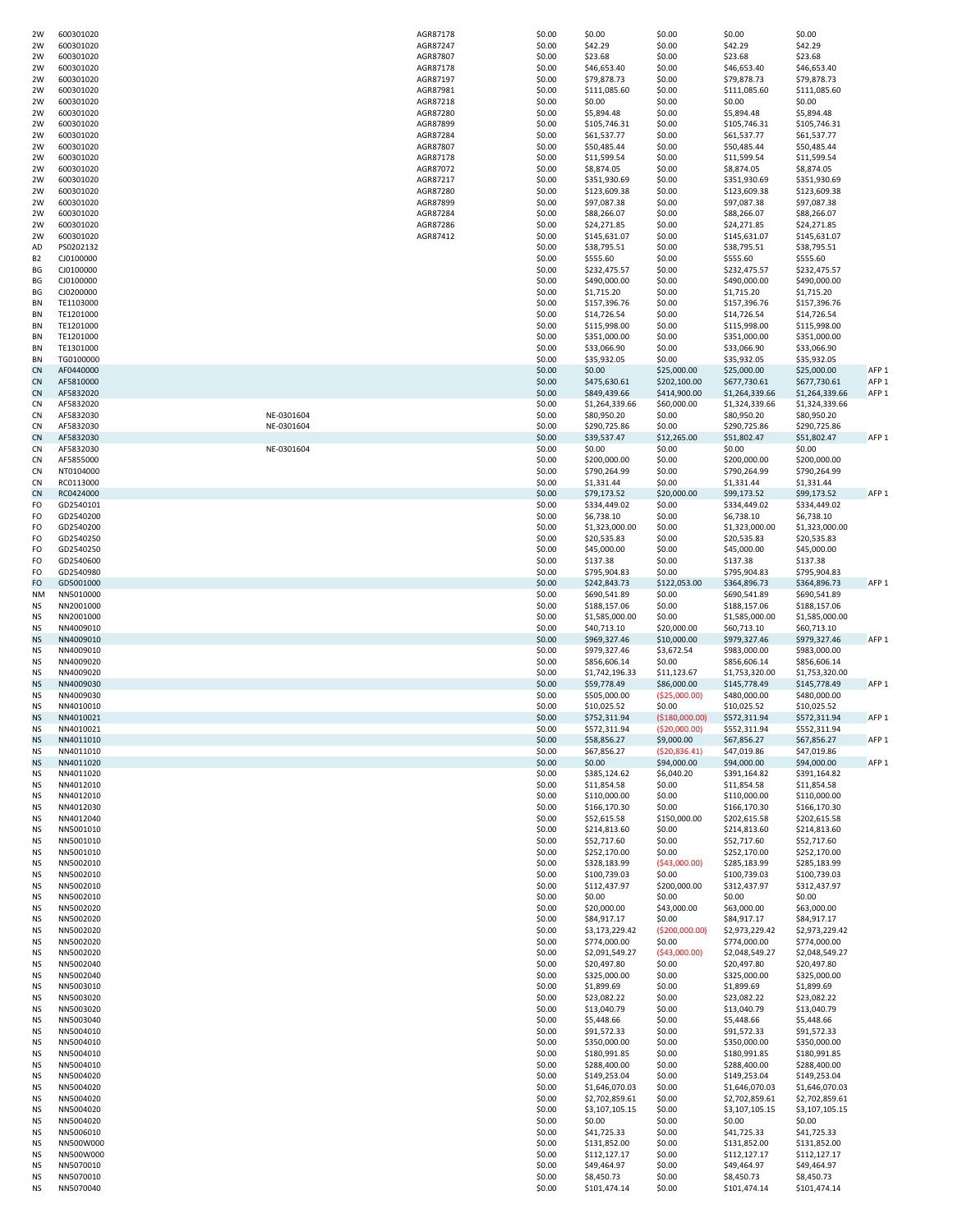| 2W              | 600301020              |            | AGR87178             | \$0.00           | \$0.00                        | \$0.00                     | \$0.00                         | \$0.00                         |                  |
|-----------------|------------------------|------------|----------------------|------------------|-------------------------------|----------------------------|--------------------------------|--------------------------------|------------------|
| 2W              | 600301020              |            | AGR87247             | \$0.00           | \$42.29                       | \$0.00                     | \$42.29                        | \$42.29                        |                  |
| 2W              | 600301020              |            | AGR87807             | \$0.00           | \$23.68                       | \$0.00                     | \$23.68                        | \$23.68                        |                  |
| 2W              | 600301020              |            | AGR87178             | \$0.00           | \$46,653.40                   | \$0.00                     | \$46,653.40                    | \$46,653.40                    |                  |
| 2W              | 600301020              |            | AGR87197             | \$0.00           | \$79,878.73                   | \$0.00                     | \$79,878.73                    | \$79,878.73                    |                  |
| 2W              | 600301020              |            | AGR87981             | \$0.00           | \$111,085.60                  | \$0.00                     | \$111,085.60                   | \$111,085.60                   |                  |
| 2W<br>2W        | 600301020              |            | AGR87218             | \$0.00           | \$0.00                        | \$0.00                     | \$0.00<br>\$5,894.48           | \$0.00<br>\$5,894.48           |                  |
| 2W              | 600301020<br>600301020 |            | AGR87280<br>AGR87899 | \$0.00<br>\$0.00 | \$5,894.48<br>\$105,746.31    | \$0.00<br>\$0.00           | \$105,746.31                   | \$105,746.31                   |                  |
| 2W              | 600301020              |            | AGR87284             | \$0.00           | \$61,537.77                   | \$0.00                     | \$61,537.77                    | \$61,537.77                    |                  |
| 2W              | 600301020              |            | AGR87807             | \$0.00           | \$50,485.44                   | \$0.00                     | \$50,485.44                    | \$50,485.44                    |                  |
| 2W              | 600301020              |            | AGR87178             | \$0.00           | \$11,599.54                   | \$0.00                     | \$11,599.54                    | \$11,599.54                    |                  |
| 2W              | 600301020              |            | AGR87072             | \$0.00           | \$8,874.05                    | \$0.00                     | \$8,874.05                     | \$8,874.05                     |                  |
| 2W              | 600301020              |            | AGR87217             | \$0.00           | \$351,930.69                  | \$0.00                     | \$351,930.69                   | \$351,930.69                   |                  |
| 2W              | 600301020              |            | AGR87280             | \$0.00           | \$123,609.38                  | \$0.00                     | \$123,609.38                   | \$123,609.38                   |                  |
| 2W              | 600301020              |            | AGR87899             | \$0.00           | \$97,087.38                   | \$0.00                     | \$97,087.38                    | \$97,087.38                    |                  |
| 2W              | 600301020              |            | AGR87284             | \$0.00           | \$88,266.07                   | \$0.00                     | \$88,266.07                    | \$88,266.07                    |                  |
| 2W              | 600301020              |            | AGR87286             | \$0.00           | \$24,271.85                   | \$0.00                     | \$24,271.85                    | \$24,271.85                    |                  |
| 2W              | 600301020              |            | AGR87412             | \$0.00           | \$145,631.07                  | \$0.00                     | \$145,631.07                   | \$145,631.07                   |                  |
| AD              | PS0202132              |            |                      | \$0.00           | \$38,795.51                   | \$0.00                     | \$38,795.51                    | \$38,795.51                    |                  |
| B <sub>2</sub>  | CJ0100000              |            |                      | \$0.00           | \$555.60                      | \$0.00                     | \$555.60                       | \$555.60                       |                  |
| BG              | CJ0100000              |            |                      | \$0.00           | \$232,475.57                  | \$0.00                     | \$232,475.57                   | \$232,475.57                   |                  |
| BG              | CJ0100000              |            |                      | \$0.00           | \$490,000.00                  | \$0.00                     | \$490,000.00                   | \$490,000.00                   |                  |
| BG              | CJ0200000              |            |                      | \$0.00           | \$1,715.20                    | \$0.00                     | \$1,715.20                     | \$1,715.20                     |                  |
| BN              | TE1103000              |            |                      | \$0.00           | \$157,396.76                  | \$0.00                     | \$157,396.76                   | \$157,396.76                   |                  |
| BN              | TE1201000              |            |                      | \$0.00           | \$14,726.54                   | \$0.00                     | \$14,726.54                    | \$14,726.54                    |                  |
| BN              | TE1201000              |            |                      | \$0.00           | \$115,998.00                  | \$0.00                     | \$115,998.00                   | \$115,998.00                   |                  |
| BN              | TE1201000              |            |                      | \$0.00           | \$351,000.00                  | \$0.00                     | \$351,000.00                   | \$351,000.00                   |                  |
| BN              | TE1301000              |            |                      | \$0.00           | \$33,066.90                   | \$0.00                     | \$33,066.90                    | \$33,066.90                    |                  |
| BN              | TG0100000              |            |                      | \$0.00           | \$35,932.05                   | \$0.00                     | \$35,932.05                    | \$35,932.05                    |                  |
| CN              | AF0440000              |            |                      | \$0.00           | \$0.00                        | \$25,000.00                | \$25,000.00                    | \$25,000.00                    | AFP <sub>1</sub> |
| <b>CN</b>       | AF5810000              |            |                      | \$0.00           | \$475,630.61                  | \$202,100.00               | \$677,730.61                   | \$677,730.61                   | AFP <sub>1</sub> |
| <b>CN</b>       | AF5832020              |            |                      | \$0.00           | \$849,439.66                  | \$414,900.00               | \$1,264,339.66                 | \$1,264,339.66                 | AFP <sub>1</sub> |
| <b>CN</b>       | AF5832020              |            |                      | \$0.00           | \$1,264,339.66                | \$60,000.00                | \$1,324,339.66                 | \$1,324,339.66                 |                  |
| CN              | AF5832030              | NE-0301604 |                      | \$0.00           | \$80,950.20                   | \$0.00                     | \$80,950.20                    | \$80,950.20                    |                  |
| CN              | AF5832030              | NE-0301604 |                      | \$0.00           | \$290,725.86                  | \$0.00                     | \$290,725.86                   | \$290,725.86                   |                  |
| CN              | AF5832030              |            |                      | \$0.00           | \$39,537.47                   | \$12,265.00                | \$51,802.47                    | \$51,802.47                    | AFP <sub>1</sub> |
| CN              | AF5832030              | NE-0301604 |                      | \$0.00           | \$0.00                        | \$0.00                     | \$0.00                         | \$0.00                         |                  |
| <b>CN</b>       | AF5855000              |            |                      | \$0.00           | \$200,000.00<br>\$790,264.99  | \$0.00                     | \$200,000.00                   | \$200,000.00                   |                  |
| CN              | NT0104000              |            |                      | \$0.00           |                               | \$0.00                     | \$790,264.99                   | \$790,264.99                   |                  |
| CN              | RC0113000              |            |                      | \$0.00           | \$1,331.44                    | \$0.00<br>\$20,000.00      | \$1,331.44                     | \$1,331.44                     | AFP <sub>1</sub> |
| CN<br>FO        | RC0424000<br>GD2540101 |            |                      | \$0.00<br>\$0.00 | \$79,173.52<br>\$334,449.02   | \$0.00                     | \$99,173.52<br>\$334,449.02    | \$99,173.52<br>\$334,449.02    |                  |
| FO              | GD2540200              |            |                      | \$0.00           | \$6,738.10                    | \$0.00                     | \$6,738.10                     | \$6,738.10                     |                  |
| FO              | GD2540200              |            |                      | \$0.00           | \$1,323,000.00                | \$0.00                     | \$1,323,000.00                 | \$1,323,000.00                 |                  |
| FO              | GD2540250              |            |                      | \$0.00           | \$20,535.83                   | \$0.00                     | \$20,535.83                    | \$20,535.83                    |                  |
| FO              | GD2540250              |            |                      | \$0.00           | \$45,000.00                   | \$0.00                     | \$45,000.00                    | \$45,000.00                    |                  |
| FO              | GD2540600              |            |                      | \$0.00           | \$137.38                      | \$0.00                     | \$137.38                       | \$137.38                       |                  |
| FO              | GD2540980              |            |                      | \$0.00           | \$795,904.83                  | \$0.00                     | \$795,904.83                   | \$795,904.83                   |                  |
| FO              | GD5001000              |            |                      | \$0.00           | \$242,843.73                  | \$122,053.00               | \$364,896.73                   | \$364,896.73                   | AFP <sub>1</sub> |
|                 |                        |            |                      |                  |                               |                            |                                | \$690,541.89                   |                  |
|                 |                        |            |                      |                  |                               |                            |                                |                                |                  |
| <b>NM</b>       | NN5010000              |            |                      | \$0.00           | \$690,541.89                  | \$0.00                     | \$690,541.89                   |                                |                  |
| NS              | NN2001000              |            |                      | \$0.00           | \$188,157.06                  | \$0.00                     | \$188,157.06                   | \$188,157.06                   |                  |
| NS              | NN2001000              |            |                      | \$0.00           | \$1,585,000.00                | \$0.00                     | \$1,585,000.00                 | \$1,585,000.00                 |                  |
| NS              | NN4009010              |            |                      | \$0.00           | \$40,713.10                   | \$20,000.00                | \$60,713.10                    | \$60,713.10                    |                  |
| <b>NS</b>       | NN4009010              |            |                      | \$0.00           | \$969,327.46                  | \$10,000.00                | \$979,327.46                   | \$979,327.46                   | AFP <sub>1</sub> |
| NS              | NN4009010              |            |                      | \$0.00           | \$979,327.46                  | \$3,672.54                 | \$983,000.00                   | \$983,000.00                   |                  |
| <b>NS</b><br>NS | NN4009020              |            |                      | \$0.00           | \$856,606.14                  | \$0.00                     | \$856,606.14                   | \$856,606.14<br>\$1,753,320.00 |                  |
| <b>NS</b>       | NN4009020<br>NN4009030 |            |                      | \$0.00<br>\$0.00 | \$1,742,196.33<br>\$59,778.49 | \$11,123.67<br>\$86,000.00 | \$1,753,320.00<br>\$145,778.49 | \$145,778.49                   | AFP <sub>1</sub> |
| NS              | NN4009030              |            |                      | \$0.00           | \$505,000.00                  | ( \$25,000.00)             | \$480,000.00                   | \$480,000.00                   |                  |
| NS              | NN4010010              |            |                      | \$0.00           | \$10,025.52                   | \$0.00                     | \$10,025.52                    | \$10,025.52                    |                  |
| <b>NS</b>       | NN4010021              |            |                      | \$0.00           | \$752,311.94                  | ( \$180,000.00)            | \$572,311.94                   | \$572,311.94                   | AFP <sub>1</sub> |
| ΝS              | NN4010021              |            |                      | \$0.00           | \$572,311.94                  | (\$20,000.00)              | \$552,311.94                   | \$552,311.94                   |                  |
| <b>NS</b>       | NN4011010              |            |                      | \$0.00           | \$58,856.27                   | \$9,000.00                 | \$67,856.27                    | \$67,856.27                    | AFP <sub>1</sub> |
| ΝS              | NN4011010              |            |                      | \$0.00           | \$67,856.27                   | (520, 836.41)              | \$47,019.86                    | \$47,019.86                    |                  |
| <b>NS</b>       | NN4011020              |            |                      | \$0.00           | \$0.00                        | \$94,000.00                | \$94,000.00                    | \$94,000.00                    | AFP <sub>1</sub> |
| ΝS              | NN4011020              |            |                      | \$0.00           | \$385,124.62                  | \$6,040.20                 | \$391,164.82                   | \$391,164.82                   |                  |
| NS              | NN4012010              |            |                      | \$0.00           | \$11,854.58                   | \$0.00                     | \$11,854.58                    | \$11,854.58                    |                  |
| NS              | NN4012010              |            |                      | \$0.00           | \$110,000.00                  | \$0.00                     | \$110,000.00                   | \$110,000.00                   |                  |
| ΝS              | NN4012030              |            |                      | \$0.00           | \$166,170.30                  | \$0.00                     | \$166,170.30                   | \$166,170.30                   |                  |
| NS              | NN4012040              |            |                      | \$0.00           | \$52,615.58                   | \$150,000.00               | \$202,615.58                   | \$202,615.58                   |                  |
| NS              | NN5001010              |            |                      | \$0.00           | \$214,813.60                  | \$0.00                     | \$214,813.60                   | \$214,813.60                   |                  |
| NS              | NN5001010              |            |                      | \$0.00           | \$52,717.60                   | \$0.00                     | \$52,717.60                    | \$52,717.60                    |                  |
| NS              | NN5001010              |            |                      | \$0.00           | \$252,170.00                  | \$0.00                     | \$252,170.00                   | \$252,170.00                   |                  |
| ΝS              | NN5002010              |            |                      | \$0.00           | \$328,183.99                  | (543,000.00)               | \$285,183.99                   | \$285,183.99                   |                  |
| NS<br>ΝS        | NN5002010<br>NN5002010 |            |                      | \$0.00<br>\$0.00 | \$100,739.03<br>\$112,437.97  | \$0.00<br>\$200,000.00     | \$100,739.03<br>\$312,437.97   | \$100,739.03<br>\$312,437.97   |                  |
| NS              | NN5002010              |            |                      | \$0.00           | \$0.00                        | \$0.00                     | \$0.00                         | \$0.00                         |                  |
| NS              | NN5002020              |            |                      | \$0.00           | \$20,000.00                   | \$43,000.00                | \$63,000.00                    | \$63,000.00                    |                  |
| ΝS              | NN5002020              |            |                      | \$0.00           | \$84,917.17                   | \$0.00                     | \$84,917.17                    | \$84,917.17                    |                  |
| NS              | NN5002020              |            |                      | \$0.00           | \$3,173,229.42                | ( \$200,000.00)            | \$2,973,229.42                 | \$2,973,229.42                 |                  |
| ΝS              | NN5002020              |            |                      | \$0.00           | \$774,000.00                  | \$0.00                     | \$774,000.00                   | \$774,000.00                   |                  |
| NS              | NN5002020              |            |                      | \$0.00           | \$2,091,549.27                | ( \$43,000.00]             | \$2,048,549.27                 | \$2,048,549.27                 |                  |
| NS              | NN5002040              |            |                      | \$0.00           | \$20,497.80                   | \$0.00                     | \$20,497.80                    | \$20,497.80                    |                  |
| ΝS              | NN5002040              |            |                      | \$0.00           | \$325,000.00                  | \$0.00                     | \$325,000.00                   | \$325,000.00                   |                  |
| NS              | NN5003010              |            |                      | \$0.00           | \$1,899.69                    | \$0.00                     | \$1,899.69                     | \$1,899.69                     |                  |
| NS              | NN5003020              |            |                      | \$0.00           | \$23,082.22                   | \$0.00                     | \$23,082.22                    | \$23,082.22                    |                  |
| NS              | NN5003020              |            |                      | \$0.00           | \$13,040.79                   | \$0.00                     | \$13,040.79                    | \$13,040.79                    |                  |
| NS              | NN5003040              |            |                      | \$0.00           | \$5,448.66                    | \$0.00                     | \$5,448.66                     | \$5,448.66                     |                  |
| ΝS              | NN5004010              |            |                      | \$0.00           | \$91,572.33                   | \$0.00                     | \$91,572.33                    | \$91,572.33                    |                  |
| NS              | NN5004010              |            |                      | \$0.00           | \$350,000.00                  | \$0.00                     | \$350,000.00                   | \$350,000.00                   |                  |
| NS              | NN5004010              |            |                      | \$0.00           | \$180,991.85                  | \$0.00                     | \$180,991.85                   | \$180,991.85                   |                  |
| NS              | NN5004010              |            |                      | \$0.00           | \$288,400.00                  | \$0.00                     | \$288,400.00                   | \$288,400.00                   |                  |
| NS              | NN5004020              |            |                      | \$0.00           | \$149,253.04                  | \$0.00                     | \$149,253.04                   | \$149,253.04                   |                  |
| ΝS              | NN5004020              |            |                      | \$0.00           | \$1,646,070.03                | \$0.00                     | \$1,646,070.03                 | \$1,646,070.03                 |                  |
| NS              | NN5004020              |            |                      | \$0.00           | \$2,702,859.61                | \$0.00                     | \$2,702,859.61                 | \$2,702,859.61                 |                  |
| ΝS              | NN5004020              |            |                      | \$0.00           | \$3,107,105.15                | \$0.00                     | \$3,107,105.15                 | \$3,107,105.15                 |                  |
| NS              | NN5004020              |            |                      | \$0.00           | \$0.00                        | \$0.00                     | \$0.00                         | \$0.00                         |                  |
| NS<br>ΝS        | NN5006010<br>NN500W000 |            |                      | \$0.00<br>\$0.00 | \$41,725.33<br>\$131,852.00   | \$0.00<br>\$0.00           | \$41,725.33<br>\$131,852.00    | \$41,725.33<br>\$131,852.00    |                  |
| NS              | NN500W000              |            |                      | \$0.00           | \$112,127.17                  | \$0.00                     | \$112,127.17                   | \$112,127.17                   |                  |
| ΝS              | NN5070010              |            |                      | \$0.00           | \$49,464.97                   | \$0.00                     | \$49,464.97                    | \$49,464.97                    |                  |
| NS              | NN5070010              |            |                      | \$0.00           | \$8,450.73                    | \$0.00                     | \$8,450.73                     | \$8,450.73                     |                  |
| ΝS              | NN5070040              |            |                      | \$0.00           | \$101,474.14                  | \$0.00                     | \$101,474.14                   | \$101,474.14                   |                  |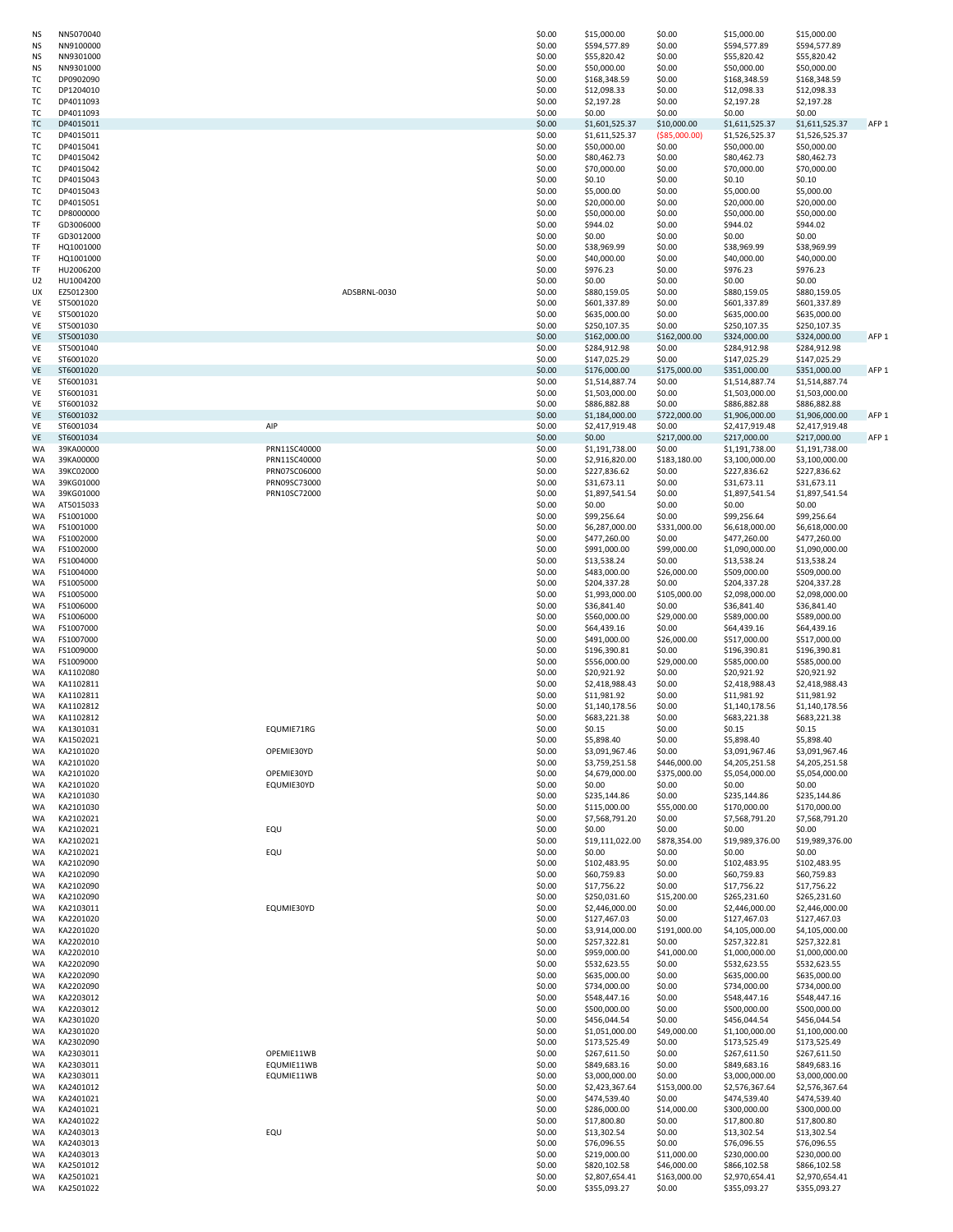| ΝS                   | NN5070040              |              | \$0.00           | \$15,000.00                      | \$0.00                       | \$15,000.00                      | \$15,000.00                      |                  |
|----------------------|------------------------|--------------|------------------|----------------------------------|------------------------------|----------------------------------|----------------------------------|------------------|
| ΝS                   | NN9100000<br>NN9301000 |              | \$0.00<br>\$0.00 | \$594,577.89<br>\$55,820.42      | \$0.00<br>\$0.00             | \$594,577.89<br>\$55,820.42      | \$594,577.89<br>\$55,820.42      |                  |
| ΝS<br>NS             | NN9301000              |              | \$0.00           | \$50,000.00                      | \$0.00                       | \$50,000.00                      | \$50,000.00                      |                  |
| тс                   | DP0902090              |              | \$0.00           | \$168,348.59                     | \$0.00                       | \$168,348.59                     | \$168,348.59                     |                  |
| тс                   | DP1204010              |              | \$0.00           | \$12,098.33                      | \$0.00                       | \$12,098.33                      | \$12,098.33                      |                  |
| тс                   | DP4011093              |              | \$0.00           | \$2,197.28                       | \$0.00                       | \$2,197.28                       | \$2,197.28                       |                  |
| ТC<br>ТC             | DP4011093<br>DP4015011 |              | \$0.00<br>\$0.00 | \$0.00<br>\$1,601,525.37         | \$0.00<br>\$10,000.00        | \$0.00<br>\$1,611,525.37         | \$0.00<br>\$1,611,525.37         | AFP <sub>1</sub> |
| тс                   | DP4015011              |              | \$0.00           | \$1,611,525.37                   | ( \$85,000.00)               | \$1,526,525.37                   | \$1,526,525.37                   |                  |
| тс                   | DP4015041              |              | \$0.00           | \$50,000.00                      | \$0.00                       | \$50,000.00                      | \$50,000.00                      |                  |
| тс                   | DP4015042              |              | \$0.00           | \$80,462.73                      | \$0.00                       | \$80,462.73                      | \$80,462.73                      |                  |
| ТC<br>ТC             | DP4015042<br>DP4015043 |              | \$0.00<br>\$0.00 | \$70,000.00<br>\$0.10            | \$0.00<br>\$0.00             | \$70,000.00<br>\$0.10            | \$70,000.00<br>\$0.10            |                  |
| тс                   | DP4015043              |              | \$0.00           | \$5,000.00                       | \$0.00                       | \$5,000.00                       | \$5,000.00                       |                  |
| тс                   | DP4015051              |              | \$0.00           | \$20,000.00                      | \$0.00                       | \$20,000.00                      | \$20,000.00                      |                  |
| тс                   | DP8000000<br>GD3006000 |              | \$0.00           | \$50,000.00                      | \$0.00<br>\$0.00             | \$50,000.00                      | \$50,000.00                      |                  |
| TF<br>TF             | GD3012000              |              | \$0.00<br>\$0.00 | \$944.02<br>\$0.00               | \$0.00                       | \$944.02<br>\$0.00               | \$944.02<br>\$0.00               |                  |
| TF                   | HQ1001000              |              | \$0.00           | \$38,969.99                      | \$0.00                       | \$38,969.99                      | \$38,969.99                      |                  |
| TF                   | HQ1001000              |              | \$0.00           | \$40,000.00                      | \$0.00                       | \$40,000.00                      | \$40,000.00                      |                  |
| TF<br>U <sub>2</sub> | HU2006200<br>HU1004200 |              | \$0.00<br>\$0.00 | \$976.23<br>\$0.00               | \$0.00<br>\$0.00             | \$976.23<br>\$0.00               | \$976.23<br>\$0.00               |                  |
| UX                   | EZ5012300              | ADSBRNL-0030 | \$0.00           | \$880,159.05                     | \$0.00                       | \$880,159.05                     | \$880,159.05                     |                  |
| VE                   | ST5001020              |              | \$0.00           | \$601,337.89                     | \$0.00                       | \$601,337.89                     | \$601,337.89                     |                  |
| VE                   | ST5001020              |              | \$0.00           | \$635,000.00                     | \$0.00                       | \$635,000.00                     | \$635,000.00                     |                  |
| VE<br>VE             | ST5001030<br>ST5001030 |              | \$0.00<br>\$0.00 | \$250,107.35<br>\$162,000.00     | \$0.00<br>\$162,000.00       | \$250,107.35<br>\$324,000.00     | \$250,107.35<br>\$324,000.00     | AFP <sub>1</sub> |
| VE                   | ST5001040              |              | \$0.00           | \$284,912.98                     | \$0.00                       | \$284,912.98                     | \$284,912.98                     |                  |
| VE                   | ST6001020              |              | \$0.00           | \$147,025.29                     | \$0.00                       | \$147,025.29                     | \$147,025.29                     |                  |
| VE                   | ST6001020              |              | \$0.00           | \$176,000.00                     | \$175,000.00                 | \$351,000.00                     | \$351,000.00                     | AFP <sub>1</sub> |
| VE<br>VE             | ST6001031<br>ST6001031 |              | \$0.00<br>\$0.00 | \$1,514,887.74<br>\$1,503,000.00 | \$0.00<br>\$0.00             | \$1,514,887.74<br>\$1,503,000.00 | \$1,514,887.74<br>\$1,503,000.00 |                  |
| VE                   | ST6001032              |              | \$0.00           | \$886,882.88                     | \$0.00                       | \$886,882.88                     | \$886,882.88                     |                  |
| VE                   | ST6001032              |              | \$0.00           | \$1,184,000.00                   | \$722,000.00                 | \$1,906,000.00                   | \$1,906,000.00                   | AFP <sub>1</sub> |
| VE                   | ST6001034              | AIP          | \$0.00           | \$2,417,919.48                   | \$0.00                       | \$2,417,919.48                   | \$2,417,919.48                   |                  |
| VE<br>WA             | ST6001034<br>39KA00000 | PRN11SC40000 | \$0.00<br>\$0.00 | \$0.00<br>\$1,191,738.00         | \$217,000.00<br>\$0.00       | \$217,000.00<br>\$1,191,738.00   | \$217,000.00<br>\$1,191,738.00   | AFP <sub>1</sub> |
| WA                   | 39KA00000              | PRN11SC40000 | \$0.00           | \$2,916,820.00                   | \$183,180.00                 | \$3,100,000.00                   | \$3,100,000.00                   |                  |
| WA                   | 39KC02000              | PRN07SC06000 | \$0.00           | \$227,836.62                     | \$0.00                       | \$227,836.62                     | \$227,836.62                     |                  |
| WA                   | 39KG01000              | PRN09SC73000 | \$0.00           | \$31,673.11                      | \$0.00                       | \$31,673.11                      | \$31,673.11                      |                  |
| WA<br>WA             | 39KG01000<br>AT5015033 | PRN10SC72000 | \$0.00<br>\$0.00 | \$1,897,541.54<br>\$0.00         | \$0.00<br>\$0.00             | \$1,897,541.54<br>\$0.00         | \$1,897,541.54<br>\$0.00         |                  |
| WA                   | FS1001000              |              | \$0.00           | \$99,256.64                      | \$0.00                       | \$99,256.64                      | \$99,256.64                      |                  |
| WA                   | FS1001000              |              | \$0.00           | \$6,287,000.00                   | \$331,000.00                 | \$6,618,000.00                   | \$6,618,000.00                   |                  |
| WA                   | FS1002000              |              | \$0.00           | \$477,260.00                     | \$0.00                       | \$477,260.00                     | \$477,260.00                     |                  |
| WA<br>WA             | FS1002000<br>FS1004000 |              | \$0.00<br>\$0.00 | \$991,000.00<br>\$13,538.24      | \$99,000.00<br>\$0.00        | \$1,090,000.00<br>\$13,538.24    | \$1,090,000.00<br>\$13,538.24    |                  |
| WA                   | FS1004000              |              | \$0.00           | \$483,000.00                     | \$26,000.00                  | \$509,000.00                     | \$509,000.00                     |                  |
| WA                   | FS1005000              |              | \$0.00           | \$204,337.28                     | \$0.00                       | \$204,337.28                     | \$204,337.28                     |                  |
| WA<br>WA             | FS1005000<br>FS1006000 |              | \$0.00<br>\$0.00 | \$1,993,000.00<br>\$36,841.40    | \$105,000.00<br>\$0.00       | \$2,098,000.00<br>\$36,841.40    | \$2,098,000.00<br>\$36,841.40    |                  |
| WA                   | FS1006000              |              | \$0.00           | \$560,000.00                     | \$29,000.00                  | \$589,000.00                     | \$589,000.00                     |                  |
| WA                   | FS1007000              |              | \$0.00           | \$64,439.16                      | \$0.00                       | \$64,439.16                      | \$64,439.16                      |                  |
| WA                   | FS1007000              |              | \$0.00           | \$491,000.00                     | \$26,000.00                  | \$517,000.00                     | \$517,000.00                     |                  |
| WA<br>WA             | FS1009000<br>FS1009000 |              | \$0.00<br>\$0.00 | \$196,390.81<br>\$556,000.00     | \$0.00<br>\$29,000.00        | \$196,390.81<br>\$585,000.00     | \$196,390.81<br>\$585,000.00     |                  |
| WA                   | KA1102080              |              | \$0.00           | \$20,921.92                      | \$0.00                       | \$20,921.92                      | \$20,921.92                      |                  |
| WA                   | KA1102811              |              | \$0.00           | \$2,418,988.43                   | \$0.00                       | \$2,418,988.43                   | \$2,418,988.43                   |                  |
| WA                   | KA1102811              |              | \$0.00           | \$11,981.92                      | \$0.00                       | \$11,981.92                      | \$11,981.92                      |                  |
| WA<br>WA             | KA1102812<br>KA1102812 |              | \$0.00<br>\$0.00 | \$1,140,178.56<br>\$683,221.38   | \$0.00<br>\$0.00             | \$1,140,178.56<br>\$683,221.38   | \$1,140,178.56<br>\$683,221.38   |                  |
| WA                   | KA1301031              | EQUMIE71RG   | \$0.00           | \$0.15                           | \$0.00                       | \$0.15                           | \$0.15                           |                  |
| WA                   | KA1502021              |              | \$0.00           | \$5,898.40                       | \$0.00                       | \$5,898.40                       | \$5,898.40                       |                  |
| WA                   | KA2101020              | OPEMIE30YD   | \$0.00           | \$3,091,967.46                   | \$0.00                       | \$3,091,967.46                   | \$3,091,967.46                   |                  |
| WA<br>WA             | KA2101020<br>KA2101020 | OPEMIE30YD   | \$0.00<br>\$0.00 | \$3,759,251.58<br>\$4,679,000.00 | \$446,000.00<br>\$375,000.00 | \$4,205,251.58<br>\$5,054,000.00 | \$4,205,251.58<br>\$5,054,000.00 |                  |
| WA                   | KA2101020              | EQUMIE30YD   | \$0.00           | \$0.00                           | \$0.00                       | \$0.00                           | \$0.00                           |                  |
| WA                   | KA2101030              |              | \$0.00           | \$235,144.86                     | \$0.00                       | \$235,144.86                     | \$235,144.86                     |                  |
| WA                   | KA2101030              |              | \$0.00           | \$115,000.00                     | \$55,000.00                  | \$170,000.00                     | \$170,000.00                     |                  |
| WA<br>WA             | KA2102021<br>KA2102021 | EQU          | \$0.00<br>\$0.00 | \$7,568,791.20<br>\$0.00         | \$0.00<br>\$0.00             | \$7,568,791.20<br>\$0.00         | \$7,568,791.20<br>\$0.00         |                  |
| WA                   | KA2102021              |              | \$0.00           | \$19,111,022.00                  | \$878,354.00                 | \$19,989,376.00                  | \$19,989,376.00                  |                  |
| WA                   | KA2102021              | EQU          | \$0.00           | \$0.00                           | \$0.00                       | \$0.00                           | \$0.00                           |                  |
| WA<br>WA             | KA2102090<br>KA2102090 |              | \$0.00<br>\$0.00 | \$102,483.95<br>\$60,759.83      | \$0.00<br>\$0.00             | \$102,483.95<br>\$60,759.83      | \$102,483.95<br>\$60,759.83      |                  |
| WA                   | KA2102090              |              | \$0.00           | \$17,756.22                      | \$0.00                       | \$17,756.22                      | \$17,756.22                      |                  |
| WA                   | KA2102090              |              | \$0.00           | \$250,031.60                     | \$15,200.00                  | \$265,231.60                     | \$265,231.60                     |                  |
| WA                   | KA2103011              | EQUMIE30YD   | \$0.00           | \$2,446,000.00                   | \$0.00                       | \$2,446,000.00                   | \$2,446,000.00                   |                  |
| WA<br>WA             | KA2201020<br>KA2201020 |              | \$0.00<br>\$0.00 | \$127,467.03<br>\$3,914,000.00   | \$0.00<br>\$191,000.00       | \$127,467.03<br>\$4,105,000.00   | \$127,467.03<br>\$4,105,000.00   |                  |
| WA                   | KA2202010              |              | \$0.00           | \$257,322.81                     | \$0.00                       | \$257,322.81                     | \$257,322.81                     |                  |
| WA                   | KA2202010              |              | \$0.00           | \$959,000.00                     | \$41,000.00                  | \$1,000,000.00                   | \$1,000,000.00                   |                  |
| WA<br>WA             | KA2202090<br>KA2202090 |              | \$0.00<br>\$0.00 | \$532,623.55<br>\$635,000.00     | \$0.00<br>\$0.00             | \$532,623.55<br>\$635,000.00     | \$532,623.55<br>\$635,000.00     |                  |
| WA                   | KA2202090              |              | \$0.00           | \$734,000.00                     | \$0.00                       | \$734,000.00                     | \$734,000.00                     |                  |
| WA                   | KA2203012              |              | \$0.00           | \$548,447.16                     | \$0.00                       | \$548,447.16                     | \$548,447.16                     |                  |
| WA                   | KA2203012              |              | \$0.00           | \$500,000.00                     | \$0.00                       | \$500,000.00                     | \$500,000.00                     |                  |
| WA<br>WA             | KA2301020<br>KA2301020 |              | \$0.00<br>\$0.00 | \$456,044.54<br>\$1,051,000.00   | \$0.00<br>\$49,000.00        | \$456,044.54<br>\$1,100,000.00   | \$456,044.54<br>\$1,100,000.00   |                  |
| WA                   | KA2302090              |              | \$0.00           | \$173,525.49                     | \$0.00                       | \$173,525.49                     | \$173,525.49                     |                  |
| WA                   | KA2303011              | OPEMIE11WB   | \$0.00           | \$267,611.50                     | \$0.00                       | \$267,611.50                     | \$267,611.50                     |                  |
| WA                   | KA2303011              | EQUMIE11WB   | \$0.00           | \$849,683.16                     | \$0.00                       | \$849,683.16                     | \$849,683.16                     |                  |
| WA<br>WA             | KA2303011<br>KA2401012 | EQUMIE11WB   | \$0.00<br>\$0.00 | \$3,000,000.00<br>\$2,423,367.64 | \$0.00<br>\$153,000.00       | \$3,000,000.00<br>\$2,576,367.64 | \$3,000,000.00<br>\$2,576,367.64 |                  |
| WA                   | KA2401021              |              | \$0.00           | \$474,539.40                     | \$0.00                       | \$474,539.40                     | \$474,539.40                     |                  |
| WA                   | KA2401021              |              | \$0.00           | \$286,000.00                     | \$14,000.00                  | \$300,000.00                     | \$300,000.00                     |                  |
| WA                   | KA2401022              |              | \$0.00           | \$17,800.80                      | \$0.00                       | \$17,800.80                      | \$17,800.80                      |                  |
| WA<br>WA             | KA2403013<br>KA2403013 | EQU          | \$0.00<br>\$0.00 | \$13,302.54<br>\$76,096.55       | \$0.00<br>\$0.00             | \$13,302.54<br>\$76,096.55       | \$13,302.54<br>\$76,096.55       |                  |
| WA                   | KA2403013              |              | \$0.00           | \$219,000.00                     | \$11,000.00                  | \$230,000.00                     | \$230,000.00                     |                  |
| WA                   | KA2501012              |              | \$0.00           | \$820,102.58                     | \$46,000.00                  | \$866,102.58                     | \$866,102.58                     |                  |
| WA                   | KA2501021<br>KA2501022 |              | \$0.00           | \$2,807,654.41<br>\$355,093.27   | \$163,000.00<br>\$0.00       | \$2,970,654.41<br>\$355,093.27   | \$2,970,654.41<br>\$355,093.27   |                  |
| WA                   |                        |              | \$0.00           |                                  |                              |                                  |                                  |                  |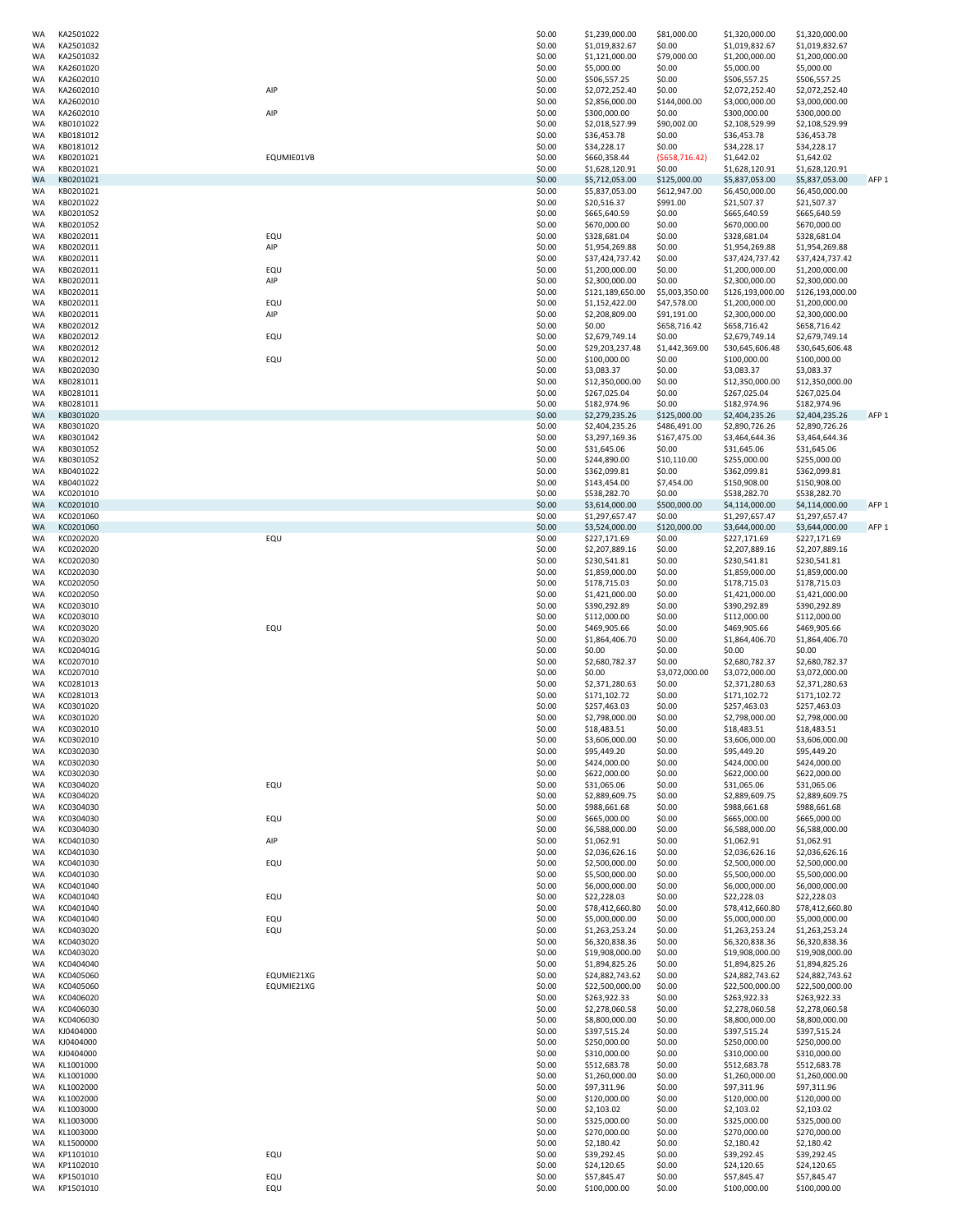| WA              | KA2501022              |            | \$0.00           | \$1,239,000.00                    | \$81,000.00                | \$1,320,000.00                    | \$1,320,000.00                    |                  |
|-----------------|------------------------|------------|------------------|-----------------------------------|----------------------------|-----------------------------------|-----------------------------------|------------------|
| WA              | KA2501032              |            | \$0.00           | \$1,019,832.67                    | \$0.00                     | \$1,019,832.67                    | \$1,019,832.67                    |                  |
| WA              | KA2501032              |            | \$0.00           | \$1,121,000.00                    | \$79,000.00                | \$1,200,000.00                    | \$1,200,000.00                    |                  |
| WA              | KA2601020              |            | \$0.00           | \$5,000.00                        | \$0.00                     | \$5,000.00                        | \$5,000.00                        |                  |
| WA<br>WA        | KA2602010<br>KA2602010 | AIP        | \$0.00<br>\$0.00 | \$506,557.25<br>\$2,072,252.40    | \$0.00<br>\$0.00           | \$506,557.25<br>\$2,072,252.40    | \$506,557.25<br>\$2,072,252.40    |                  |
| WA              | KA2602010              |            | \$0.00           | \$2,856,000.00                    | \$144,000.00               | \$3,000,000.00                    | \$3,000,000.00                    |                  |
| WA              | KA2602010              | AIP        | \$0.00           | \$300,000.00                      | \$0.00                     | \$300,000.00                      | \$300,000.00                      |                  |
| WA              | KB0101022              |            | \$0.00           | \$2,018,527.99                    | \$90,002.00                | \$2,108,529.99                    | \$2,108,529.99                    |                  |
| WA              | KB0181012              |            | \$0.00           | \$36,453.78                       | \$0.00                     | \$36,453.78                       | \$36,453.78                       |                  |
| WA              | KB0181012              | EQUMIE01VB | \$0.00           | \$34,228.17                       | \$0.00                     | \$34,228.17                       | \$34,228.17                       |                  |
| WA<br>WA        | KB0201021<br>KB0201021 |            | \$0.00<br>\$0.00 | \$660,358.44<br>\$1,628,120.91    | (5658, 716.42)<br>\$0.00   | \$1,642.02<br>\$1,628,120.91      | \$1,642.02<br>\$1,628,120.91      |                  |
| <b>WA</b>       | KB0201021              |            | \$0.00           | \$5,712,053.00                    | \$125,000.00               | \$5,837,053.00                    | \$5,837,053.00                    | AFP <sub>1</sub> |
| WA              | KB0201021              |            | \$0.00           | \$5,837,053.00                    | \$612,947.00               | \$6,450,000.00                    | \$6,450,000.00                    |                  |
| WA              | KB0201022              |            | \$0.00           | \$20,516.37                       | \$991.00                   | \$21,507.37                       | \$21,507.37                       |                  |
| WA              | KB0201052              |            | \$0.00           | \$665,640.59                      | \$0.00                     | \$665,640.59                      | \$665,640.59                      |                  |
| WA<br>WA        | KB0201052<br>KB0202011 | EQU        | \$0.00<br>\$0.00 | \$670,000.00<br>\$328,681.04      | \$0.00<br>\$0.00           | \$670,000.00<br>\$328,681.04      | \$670,000.00<br>\$328,681.04      |                  |
| WA              | KB0202011              | AIP        | \$0.00           | \$1,954,269.88                    | \$0.00                     | \$1,954,269.88                    | \$1,954,269.88                    |                  |
| WA              | KB0202011              |            | \$0.00           | \$37,424,737.42                   | \$0.00                     | \$37,424,737.42                   | \$37,424,737.42                   |                  |
| WA              | KB0202011              | EQU        | \$0.00           | \$1,200,000.00                    | \$0.00                     | \$1,200,000.00                    | \$1,200,000.00                    |                  |
| WA              | KB0202011              | AIP        | \$0.00           | \$2,300,000.00                    | \$0.00                     | \$2,300,000.00                    | \$2,300,000.00                    |                  |
| WA              | KB0202011              |            | \$0.00           | \$121,189,650.00                  | \$5,003,350.00             | \$126,193,000.00                  | \$126,193,000.00                  |                  |
| WA<br>WA        | KB0202011<br>KB0202011 | EQU<br>AIP | \$0.00<br>\$0.00 | \$1,152,422.00<br>\$2,208,809.00  | \$47,578.00<br>\$91,191.00 | \$1,200,000.00<br>\$2,300,000.00  | \$1,200,000.00<br>\$2,300,000.00  |                  |
| WA              | KB0202012              |            | \$0.00           | \$0.00                            | \$658,716.42               | \$658,716.42                      | \$658,716.42                      |                  |
| WA              | KB0202012              | EQU        | \$0.00           | \$2,679,749.14                    | \$0.00                     | \$2,679,749.14                    | \$2,679,749.14                    |                  |
| WA              | KB0202012              |            | \$0.00           | \$29,203,237.48                   | \$1,442,369.00             | \$30,645,606.48                   | \$30,645,606.48                   |                  |
| WA              | KB0202012              | EQU        | \$0.00           | \$100,000.00                      | \$0.00                     | \$100,000.00                      | \$100,000.00                      |                  |
| WA              | KB0202030              |            | \$0.00           | \$3,083.37                        | \$0.00                     | \$3,083.37                        | \$3,083.37                        |                  |
| WA<br>WA        | KB0281011<br>KB0281011 |            | \$0.00<br>\$0.00 | \$12,350,000.00<br>\$267,025.04   | \$0.00<br>\$0.00           | \$12,350,000.00<br>\$267,025.04   | \$12,350,000.00<br>\$267,025.04   |                  |
| WA              | KB0281011              |            | \$0.00           | \$182,974.96                      | \$0.00                     | \$182,974.96                      | \$182,974.96                      |                  |
| WA              | KB0301020              |            | \$0.00           | \$2,279,235.26                    | \$125,000.00               | \$2,404,235.26                    | \$2,404,235.26                    | AFP <sub>1</sub> |
| WA              | KB0301020              |            | \$0.00           | \$2,404,235.26                    | \$486,491.00               | \$2,890,726.26                    | \$2,890,726.26                    |                  |
| WA              | KB0301042              |            | \$0.00           | \$3,297,169.36                    | \$167,475.00               | \$3,464,644.36                    | \$3,464,644.36                    |                  |
| WA<br>WA        | KB0301052<br>KB0301052 |            | \$0.00<br>\$0.00 | \$31,645.06<br>\$244,890.00       | \$0.00<br>\$10,110.00      | \$31,645.06<br>\$255,000.00       | \$31,645.06<br>\$255,000.00       |                  |
| WA              | KB0401022              |            | \$0.00           | \$362,099.81                      | \$0.00                     | \$362,099.81                      | \$362,099.81                      |                  |
| WA              | KB0401022              |            | \$0.00           | \$143,454.00                      | \$7,454.00                 | \$150,908.00                      | \$150,908.00                      |                  |
| WA              | KC0201010              |            | \$0.00           | \$538,282.70                      | \$0.00                     | \$538,282.70                      | \$538,282.70                      |                  |
| <b>WA</b>       | KC0201010              |            | \$0.00           | \$3,614,000.00                    | \$500,000.00               | \$4,114,000.00                    | \$4,114,000.00                    | AFP <sub>1</sub> |
| WA              | KC0201060              |            | \$0.00           | \$1,297,657.47                    | \$0.00                     | \$1,297,657.47                    | \$1,297,657.47                    |                  |
| <b>WA</b><br>WA | KC0201060<br>KC0202020 | EQU        | \$0.00<br>\$0.00 | \$3,524,000.00<br>\$227,171.69    | \$120,000.00<br>\$0.00     | \$3,644,000.00<br>\$227,171.69    | \$3,644,000.00<br>\$227,171.69    | AFP <sub>1</sub> |
| WA              | KC0202020              |            | \$0.00           | \$2,207,889.16                    | \$0.00                     | \$2,207,889.16                    | \$2,207,889.16                    |                  |
| WA              | KC0202030              |            | \$0.00           | \$230,541.81                      | \$0.00                     | \$230,541.81                      | \$230,541.81                      |                  |
| WA              | KC0202030              |            | \$0.00           | \$1,859,000.00                    | \$0.00                     | \$1,859,000.00                    | \$1,859,000.00                    |                  |
| WA              | KC0202050              |            | \$0.00           | \$178,715.03                      | \$0.00                     | \$178,715.03                      | \$178,715.03                      |                  |
| WA              | KC0202050              |            | \$0.00           | \$1,421,000.00                    | \$0.00                     | \$1,421,000.00                    | \$1,421,000.00                    |                  |
| WA<br>WA        | KC0203010<br>KC0203010 |            | \$0.00<br>\$0.00 | \$390,292.89<br>\$112,000.00      | \$0.00<br>\$0.00           | \$390,292.89<br>\$112,000.00      | \$390,292.89<br>\$112,000.00      |                  |
| WA              | KC0203020              | EQU        | \$0.00           | \$469,905.66                      | \$0.00                     | \$469,905.66                      | \$469,905.66                      |                  |
| WA              | KC0203020              |            | \$0.00           | \$1,864,406.70                    | \$0.00                     | \$1,864,406.70                    | \$1,864,406.70                    |                  |
| WA              | KC020401G              |            | \$0.00           | \$0.00                            | \$0.00                     | \$0.00                            | \$0.00                            |                  |
| WA              | KC0207010              |            | \$0.00           | \$2,680,782.37                    | \$0.00                     | \$2,680,782.37                    | \$2,680,782.37                    |                  |
| WA<br>WA        | KC0207010<br>KC0281013 |            | \$0.00<br>\$0.00 | \$0.00<br>\$2,371,280.63          | \$3,072,000.00<br>\$0.00   | \$3,072,000.00<br>\$2,371,280.63  | \$3,072,000.00<br>\$2,371,280.63  |                  |
| WA              | KC0281013              |            | \$0.00           | \$171,102.72                      | \$0.00                     | \$171,102.72                      | \$171,102.72                      |                  |
| WA              | KC0301020              |            | \$0.00           | \$257,463.03                      | \$0.00                     | \$257,463.03                      | \$257,463.03                      |                  |
| WA              | KC0301020              |            | \$0.00           | \$2,798,000.00                    | \$0.00                     | \$2,798,000.00                    | \$2,798,000.00                    |                  |
| WA              | KC0302010              |            | \$0.00           | \$18,483.51                       | \$0.00                     | \$18,483.51                       | \$18,483.51                       |                  |
| WA              | KC0302010              |            | \$0.00           | \$3,606,000.00                    | \$0.00                     | \$3,606,000.00                    | \$3,606,000.00<br>\$95,449.20     |                  |
| WA<br>WA        | KC0302030<br>KC0302030 |            | \$0.00<br>\$0.00 | \$95,449.20<br>\$424,000.00       | \$0.00<br>\$0.00           | \$95,449.20<br>\$424,000.00       | \$424,000.00                      |                  |
| WA              | KC0302030              |            | \$0.00           | \$622,000.00                      | \$0.00                     | \$622,000.00                      | \$622,000.00                      |                  |
| WA              | KC0304020              | EQU        | \$0.00           | \$31,065.06                       | \$0.00                     | \$31,065.06                       | \$31,065.06                       |                  |
| WA              | KC0304020              |            | \$0.00           | \$2,889,609.75                    | \$0.00                     | \$2,889,609.75                    | \$2,889,609.75                    |                  |
| WA              | KC0304030              |            | \$0.00           | \$988,661.68                      | \$0.00                     | \$988,661.68                      | \$988,661.68<br>\$665,000.00      |                  |
| WA<br>WA        | KC0304030<br>KC0304030 | EQU        | \$0.00<br>\$0.00 | \$665,000.00<br>\$6,588,000.00    | \$0.00<br>\$0.00           | \$665,000.00<br>\$6,588,000.00    | \$6,588,000.00                    |                  |
| WA              | KC0401030              | AIP        | \$0.00           | \$1,062.91                        | \$0.00                     | \$1,062.91                        | \$1,062.91                        |                  |
| WA              | KC0401030              |            | \$0.00           | \$2,036,626.16                    | \$0.00                     | \$2,036,626.16                    | \$2,036,626.16                    |                  |
| WA              | KC0401030              | EQU        | \$0.00           | \$2,500,000.00                    | \$0.00                     | \$2,500,000.00                    | \$2,500,000.00                    |                  |
| WA<br>WA        | KC0401030<br>KC0401040 |            | \$0.00<br>\$0.00 | \$5,500,000.00<br>\$6,000,000.00  | \$0.00<br>\$0.00           | \$5,500,000.00<br>\$6,000,000.00  | \$5,500,000.00<br>\$6,000,000.00  |                  |
| WA              | KC0401040              | EQU        | \$0.00           | \$22,228.03                       | \$0.00                     | \$22,228.03                       | \$22,228.03                       |                  |
| WA              | KC0401040              |            | \$0.00           | \$78,412,660.80                   | \$0.00                     | \$78,412,660.80                   | \$78,412,660.80                   |                  |
| WA              | KC0401040              | EQU        | \$0.00           | \$5,000,000.00                    | \$0.00                     | \$5,000,000.00                    | \$5,000,000.00                    |                  |
| WA              | KC0403020              | EQU        | \$0.00           | \$1,263,253.24                    | \$0.00                     | \$1,263,253.24                    | \$1,263,253.24                    |                  |
| WA              | KC0403020              |            | \$0.00           | \$6,320,838.36<br>\$19,908,000.00 | \$0.00                     | \$6,320,838.36                    | \$6,320,838.36                    |                  |
| WA<br>WA        | KC0403020<br>KC0404040 |            | \$0.00<br>\$0.00 | \$1,894,825.26                    | \$0.00<br>\$0.00           | \$19,908,000.00<br>\$1,894,825.26 | \$19,908,000.00<br>\$1,894,825.26 |                  |
| WA              | KC0405060              | EQUMIE21XG | \$0.00           | \$24,882,743.62                   | \$0.00                     | \$24,882,743.62                   | \$24,882,743.62                   |                  |
| WA              | KC0405060              | EQUMIE21XG | \$0.00           | \$22,500,000.00                   | \$0.00                     | \$22,500,000.00                   | \$22,500,000.00                   |                  |
| WA              | KC0406020              |            | \$0.00           | \$263,922.33                      | \$0.00                     | \$263,922.33                      | \$263,922.33                      |                  |
| WA              | KC0406030              |            | \$0.00           | \$2,278,060.58                    | \$0.00                     | \$2,278,060.58                    | \$2,278,060.58                    |                  |
| WA<br>WA        | KC0406030<br>KJ0404000 |            | \$0.00<br>\$0.00 | \$8,800,000.00<br>\$397,515.24    | \$0.00<br>\$0.00           | \$8,800,000.00<br>\$397,515.24    | \$8,800,000.00<br>\$397,515.24    |                  |
| WA              | KJ0404000              |            | \$0.00           | \$250,000.00                      | \$0.00                     | \$250,000.00                      | \$250,000.00                      |                  |
| WA              | KJ0404000              |            | \$0.00           | \$310,000.00                      | \$0.00                     | \$310,000.00                      | \$310,000.00                      |                  |
| WA              | KL1001000              |            | \$0.00           | \$512,683.78                      | \$0.00                     | \$512,683.78                      | \$512,683.78                      |                  |
| WA              | KL1001000              |            | \$0.00           | \$1,260,000.00                    | \$0.00                     | \$1,260,000.00                    | \$1,260,000.00                    |                  |
| WA              | KL1002000<br>KL1002000 |            | \$0.00<br>\$0.00 | \$97,311.96<br>\$120,000.00       | \$0.00<br>\$0.00           | \$97,311.96<br>\$120,000.00       | \$97,311.96<br>\$120,000.00       |                  |
| WA<br>WA        | KL1003000              |            | \$0.00           | \$2,103.02                        | \$0.00                     | \$2,103.02                        | \$2,103.02                        |                  |
| WA              | KL1003000              |            | \$0.00           | \$325,000.00                      | \$0.00                     | \$325,000.00                      | \$325,000.00                      |                  |
| WA              | KL1003000              |            | \$0.00           | \$270,000.00                      | \$0.00                     | \$270,000.00                      | \$270,000.00                      |                  |
| WA              | KL1500000              |            | \$0.00           | \$2,180.42                        | \$0.00                     | \$2,180.42                        | \$2,180.42                        |                  |
| WA<br>WA        | KP1101010<br>KP1102010 | EQU        | \$0.00<br>\$0.00 | \$39,292.45<br>\$24,120.65        | \$0.00<br>\$0.00           | \$39,292.45<br>\$24,120.65        | \$39,292.45<br>\$24,120.65        |                  |
| WA              | KP1501010              | EQU        | \$0.00           | \$57,845.47                       | \$0.00                     | \$57,845.47                       | \$57,845.47                       |                  |
| WA              | KP1501010              | EQU        | \$0.00           | \$100,000.00                      | \$0.00                     | \$100,000.00                      | \$100,000.00                      |                  |
|                 |                        |            |                  |                                   |                            |                                   |                                   |                  |